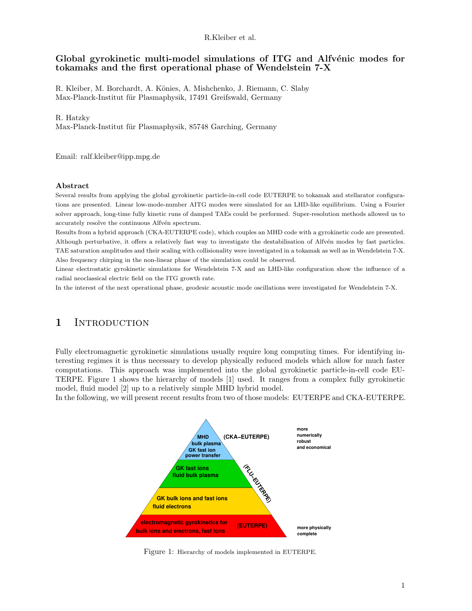R.Kleiber et al.

### Global gyrokinetic multi-model simulations of ITG and Alfvénic modes for tokamaks and the first operational phase of Wendelstein 7-X

R. Kleiber, M. Borchardt, A. Könies, A. Mishchenko, J. Riemann, C. Slaby Max-Planck-Institut für Plasmaphysik, 17491 Greifswald, Germany

#### R. Hatzky

Max-Planck-Institut für Plasmaphysik, 85748 Garching, Germany

Email: ralf.kleiber@ipp.mpg.de

#### Abstract

Several results from applying the global gyrokinetic particle-in-cell code EUTERPE to tokamak and stellarator configurations are presented. Linear low-mode-number AITG modes were simulated for an LHD-like equilibrium. Using a Fourier solver approach, long-time fully kinetic runs of damped TAEs could be performed. Super-resolution methods allowed us to accurately resolve the continuous Alfvén spectrum.

Results from a hybrid approach (CKA-EUTERPE code), which couples an MHD code with a gyrokinetic code are presented. Although perturbative, it offers a relatively fast way to investigate the destabilisation of Alfvén modes by fast particles. TAE saturation amplitudes and their scaling with collisionality were investigated in a tokamak as well as in Wendelstein 7-X. Also frequency chirping in the non-linear phase of the simulation could be observed.

Linear electrostatic gyrokinetic simulations for Wendelstein 7-X and an LHD-like configuration show the influence of a radial neoclassical electric field on the ITG growth rate.

In the interest of the next operational phase, geodesic acoustic mode oscillations were investigated for Wendelstein 7-X.

# 1 INTRODUCTION

Fully electromagnetic gyrokinetic simulations usually require long computing times. For identifying interesting regimes it is thus necessary to develop physically reduced models which allow for much faster computations. This approach was implemented into the global gyrokinetic particle-in-cell code EU-TERPE. Figure 1 shows the hierarchy of models [1] used. It ranges from a complex fully gyrokinetic model, fluid model [2] up to a relatively simple MHD hybrid model.

In the following, we will present recent results from two of those models: EUTERPE and CKA-EUTERPE.



Figure 1: Hierarchy of models implemented in EUTERPE.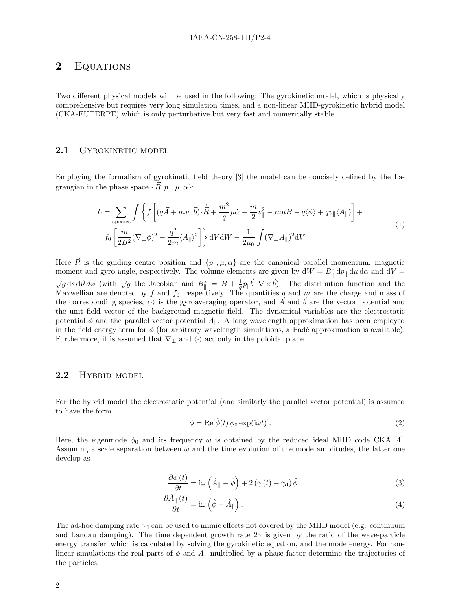## 2 EQUATIONS

Two different physical models will be used in the following: The gyrokinetic model, which is physically comprehensive but requires very long simulation times, and a non-linear MHD-gyrokinetic hybrid model (CKA-EUTERPE) which is only perturbative but very fast and numerically stable.

### 2.1 GYROKINETIC MODEL

Employing the formalism of gyrokinetic field theory [3] the model can be concisely defined by the Lagrangian in the phase space  $\{\vec{R}, p_{\parallel}, \mu, \alpha\}$ :

$$
L = \sum_{\text{species}} \int \left\{ f \left[ (q\vec{A} + mv_{\parallel} \vec{b}) \cdot \dot{\vec{R}} + \frac{m^2}{q} \mu \dot{\alpha} - \frac{m}{2} v_{\parallel}^2 - m \mu B - q \langle \phi \rangle + qv_{\parallel} \langle A_{\parallel} \rangle \right] + f_0 \left[ \frac{m}{2B^2} (\nabla_{\perp} \phi)^2 - \frac{q^2}{2m} \langle A_{\parallel} \rangle^2 \right] \right\} dV dW - \frac{1}{2\mu_0} \int (\nabla_{\perp} A_{\parallel})^2 dV
$$
\n(1)

Here  $\vec{R}$  is the guiding centre position and  $\{p_{\parallel}, \mu, \alpha\}$  are the canonical parallel momentum, magnetic moment and gyro angle, respectively. The volume elements are given by  $dW = B^*_{\parallel} dp_{\parallel} d\mu d\alpha$  and  $dV =$  $\sqrt{g}$  ds d $\vartheta$  d $\varphi$  (with  $\sqrt{g}$  the Jacobian and  $B_{\parallel}^* = B + \frac{1}{q}p_{\parallel} \vec{b} \cdot \nabla \times \vec{b}$ ). The distribution function and the Maxwellian are denoted by f and  $f_0$ , respectively. The quantities q and m are the charge and mass of the corresponding species,  $\langle \cdot \rangle$  is the gyroaveraging operator, and  $\vec{A}$  and  $\vec{b}$  are the vector potential and the unit field vector of the background magnetic field. The dynamical variables are the electrostatic potential  $\phi$  and the parallel vector potential  $A_{\parallel}$ . A long wavelength approximation has been employed in the field energy term for  $\phi$  (for arbitrary wavelength simulations, a Padé approximation is available). Furthermore, it is assumed that  $\nabla_{\perp}$  and  $\langle \cdot \rangle$  act only in the poloidal plane.

### 2.2 HYBRID MODEL

For the hybrid model the electrostatic potential (and similarly the parallel vector potential) is assumed to have the form

$$
\phi = \text{Re}[\hat{\phi}(t) \phi_0 \exp(i\omega t)].\tag{2}
$$

Here, the eigenmode  $\phi_0$  and its frequency  $\omega$  is obtained by the reduced ideal MHD code CKA [4]. Assuming a scale separation between  $\omega$  and the time evolution of the mode amplitudes, the latter one develop as

$$
\frac{\partial \hat{\phi}(t)}{\partial t} = i\omega \left(\hat{A}_{\parallel} - \hat{\phi}\right) + 2\left(\gamma(t) - \gamma_d\right)\hat{\phi}
$$
\n(3)

$$
\frac{\partial \hat{A}_{\parallel}(t)}{\partial t} = \mathrm{i}\omega \left(\hat{\phi} - \hat{A}_{\parallel}\right). \tag{4}
$$

The ad-hoc damping rate  $\gamma_d$  can be used to mimic effects not covered by the MHD model (e.g. continuum and Landau damping). The time dependent growth rate  $2\gamma$  is given by the ratio of the wave-particle energy transfer, which is calculated by solving the gyrokinetic equation, and the mode energy. For nonlinear simulations the real parts of  $\phi$  and  $A_{\parallel}$  multiplied by a phase factor determine the trajectories of the particles.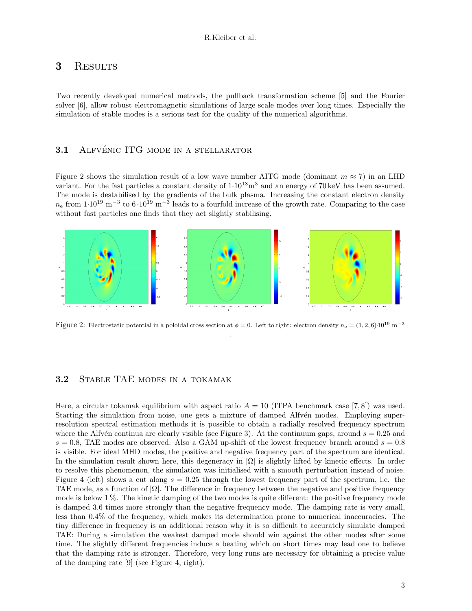## 3 RESULTS

Two recently developed numerical methods, the pullback transformation scheme [5] and the Fourier solver [6], allow robust electromagnetic simulations of large scale modes over long times. Especially the simulation of stable modes is a serious test for the quality of the numerical algorithms.

### 3.1 ALFVÉNIC ITG MODE IN A STELLARATOR

Figure 2 shows the simulation result of a low wave number AITG mode (dominant  $m \approx 7$ ) in an LHD variant. For the fast particles a constant density of  $1.10^{18}$  m<sup>3</sup> and an energy of 70 keV has been assumed. The mode is destabilised by the gradients of the bulk plasma. Increasing the constant electron density  $n_e$  from  $1.10^{19}$  m<sup>-3</sup> to  $6.10^{19}$  m<sup>-3</sup> leads to a fourfold increase of the growth rate. Comparing to the case without fast particles one finds that they act slightly stabilising.



Figure 2: Electrostatic potential in a poloidal cross section at  $\phi = 0$ . Left to right: electron density  $n_e = (1, 2, 6) \cdot 10^{19}$  m<sup>-3</sup> .

### 3.2 Stable TAE modes in a tokamak

Here, a circular tokamak equilibrium with aspect ratio  $A = 10$  (ITPA benchmark case [7,8]) was used. Starting the simulation from noise, one gets a mixture of damped Alfv $\acute{e}$ n modes. Employing superresolution spectral estimation methods it is possible to obtain a radially resolved frequency spectrum where the Alfv $\acute{e}$ n continua are clearly visible (see Figure 3). At the continuum gaps, around  $s = 0.25$  and  $s = 0.8$ , TAE modes are observed. Also a GAM up-shift of the lowest frequency branch around  $s = 0.8$ is visible. For ideal MHD modes, the positive and negative frequency part of the spectrum are identical. In the simulation result shown here, this degeneracy in  $|\Omega|$  is slightly lifted by kinetic effects. In order to resolve this phenomenon, the simulation was initialised with a smooth perturbation instead of noise. Figure 4 (left) shows a cut along  $s = 0.25$  through the lowest frequency part of the spectrum, i.e. the TAE mode, as a function of  $|\Omega|$ . The difference in frequency between the negative and positive frequency mode is below 1 %. The kinetic damping of the two modes is quite different: the positive frequency mode is damped 3.6 times more strongly than the negative frequency mode. The damping rate is very small, less than 0.4% of the frequency, which makes its determination prone to numerical inaccuracies. The tiny difference in frequency is an additional reason why it is so difficult to accurately simulate damped TAE: During a simulation the weakest damped mode should win against the other modes after some time. The slightly different frequencies induce a beating which on short times may lead one to believe that the damping rate is stronger. Therefore, very long runs are necessary for obtaining a precise value of the damping rate [9] (see Figure 4, right).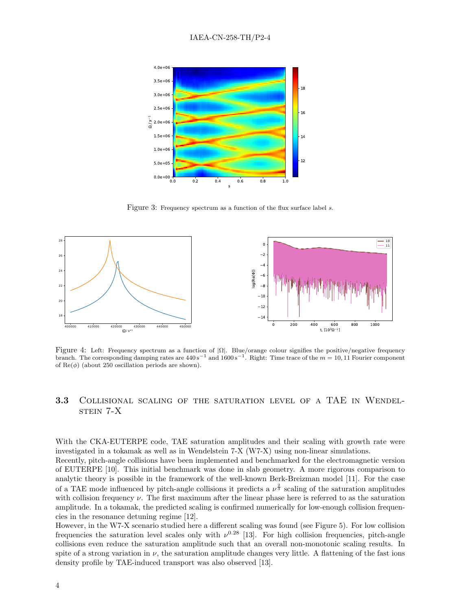

Figure 3: Frequency spectrum as a function of the flux surface label s.



Figure 4: Left: Frequency spectrum as a function of  $|\Omega|$ . Blue/orange colour signifies the positive/negative frequency branch. The corresponding damping rates are  $440\,\text{s}^{-1}$  and  $1600\,\text{s}^{-1}$ . Right: Time trace of the  $m = 10, 11$  Fourier component of  $\text{Re}(\phi)$  (about 250 oscillation periods are shown).

## 3.3 Collisional scaling of the saturation level of a TAE in Wendelstein 7-X

With the CKA-EUTERPE code, TAE saturation amplitudes and their scaling with growth rate were investigated in a tokamak as well as in Wendelstein 7-X (W7-X) using non-linear simulations. Recently, pitch-angle collisions have been implemented and benchmarked for the electromagnetic version of EUTERPE [10]. This initial benchmark was done in slab geometry. A more rigorous comparison to analytic theory is possible in the framework of the well-known Berk-Breizman model [11]. For the case of a TAE mode influenced by pitch-angle collisions it predicts a  $\nu^{\frac{2}{3}}$  scaling of the saturation amplitudes with collision frequency  $\nu$ . The first maximum after the linear phase here is referred to as the saturation amplitude. In a tokamak, the predicted scaling is confirmed numerically for low-enough collision frequencies in the resonance detuning regime [12].

However, in the W7-X scenario studied here a different scaling was found (see Figure 5). For low collision frequencies the saturation level scales only with  $\nu^{0.28}$  [13]. For high collision frequencies, pitch-angle collisions even reduce the saturation amplitude such that an overall non-monotonic scaling results. In spite of a strong variation in  $\nu$ , the saturation amplitude changes very little. A flattening of the fast ions density profile by TAE-induced transport was also observed [13].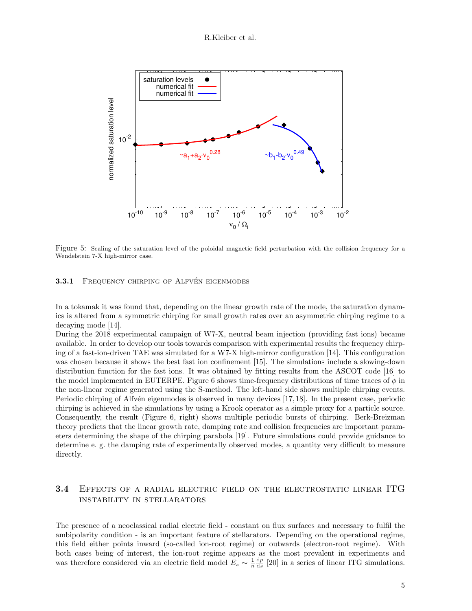R.Kleiber et al.



Figure 5: Scaling of the saturation level of the poloidal magnetic field perturbation with the collision frequency for a Wendelstein 7-X high-mirror case.

3.3.1 FREQUENCY CHIRPING OF ALFVÉN EIGENMODES

In a tokamak it was found that, depending on the linear growth rate of the mode, the saturation dynamics is altered from a symmetric chirping for small growth rates over an asymmetric chirping regime to a decaying mode [14].

During the 2018 experimental campaign of W7-X, neutral beam injection (providing fast ions) became available. In order to develop our tools towards comparison with experimental results the frequency chirping of a fast-ion-driven TAE was simulated for a W7-X high-mirror configuration [14]. This configuration was chosen because it shows the best fast ion confinement [15]. The simulations include a slowing-down distribution function for the fast ions. It was obtained by fitting results from the ASCOT code [16] to the model implemented in EUTERPE. Figure 6 shows time-frequency distributions of time traces of  $\phi$  in the non-linear regime generated using the S-method. The left-hand side shows multiple chirping events. Periodic chirping of Alfvén eigenmodes is observed in many devices [17, 18]. In the present case, periodic chirping is achieved in the simulations by using a Krook operator as a simple proxy for a particle source. Consequently, the result (Figure 6, right) shows multiple periodic bursts of chirping. Berk-Breizman theory predicts that the linear growth rate, damping rate and collision frequencies are important parameters determining the shape of the chirping parabola [19]. Future simulations could provide guidance to determine e. g. the damping rate of experimentally observed modes, a quantity very difficult to measure directly.

## 3.4 Effects of a radial electric field on the electrostatic linear ITG instability in stellarators

The presence of a neoclassical radial electric field - constant on flux surfaces and necessary to fulfil the ambipolarity condition - is an important feature of stellarators. Depending on the operational regime, this field either points inward (so-called ion-root regime) or outwards (electron-root regime). With both cases being of interest, the ion-root regime appears as the most prevalent in experiments and was therefore considered via an electric field model  $E_s \sim \frac{1}{n} \frac{dp}{ds}$  [20] in a series of linear ITG simulations.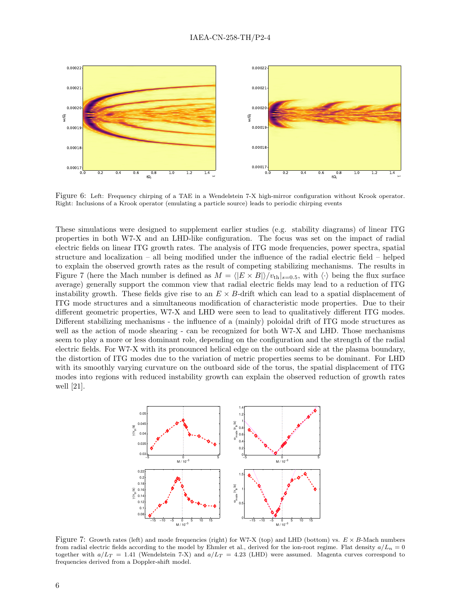

Figure 6: Left: Frequency chirping of a TAE in a Wendelstein 7-X high-mirror configuration without Krook operator. Right: Inclusions of a Krook operator (emulating a particle source) leads to periodic chirping events

These simulations were designed to supplement earlier studies (e.g. stability diagrams) of linear ITG properties in both W7-X and an LHD-like configuration. The focus was set on the impact of radial electric fields on linear ITG growth rates. The analysis of ITG mode frequencies, power spectra, spatial structure and localization – all being modified under the influence of the radial electric field – helped to explain the observed growth rates as the result of competing stabilizing mechanisms. The results in Figure 7 (here the Mach number is defined as  $M = \langle |E \times B| \rangle / v_{th}|_{s=0.5}$ , with  $\langle \cdot \rangle$  being the flux surface average) generally support the common view that radial electric fields may lead to a reduction of ITG instability growth. These fields give rise to an  $E \times B$ -drift which can lead to a spatial displacement of ITG mode structures and a simultaneous modification of characteristic mode properties. Due to their different geometric properties, W7-X and LHD were seen to lead to qualitatively different ITG modes. Different stabilizing mechanisms - the influence of a (mainly) poloidal drift of ITG mode structures as well as the action of mode shearing - can be recognized for both W7-X and LHD. Those mechanisms seem to play a more or less dominant role, depending on the configuration and the strength of the radial electric fields. For W7-X with its pronounced helical edge on the outboard side at the plasma boundary, the distortion of ITG modes due to the variation of metric properties seems to be dominant. For LHD with its smoothly varying curvature on the outboard side of the torus, the spatial displacement of ITG modes into regions with reduced instability growth can explain the observed reduction of growth rates well [21].



Figure 7: Growth rates (left) and mode frequencies (right) for W7-X (top) and LHD (bottom) vs.  $E \times B$ -Mach numbers from radial electric fields according to the model by Ehmler et al., derived for the ion-root regime. Flat density  $a/L_n = 0$ together with  $a/L_T = 1.41$  (Wendelstein 7-X) and  $a/L_T = 4.23$  (LHD) were assumed. Magenta curves correspond to frequencies derived from a Doppler-shift model.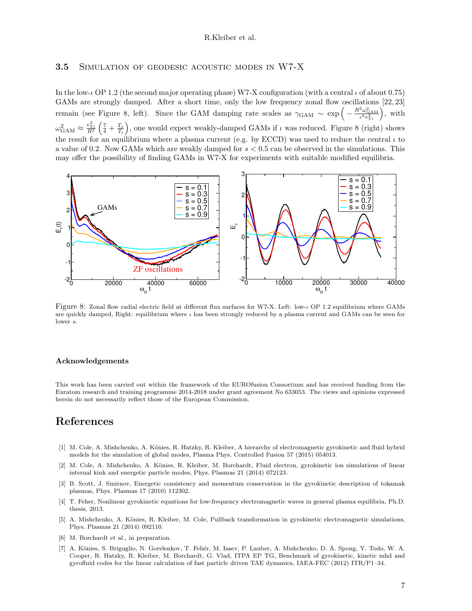#### R.Kleiber et al.

#### 3.5 SIMULATION OF GEODESIC ACOUSTIC MODES IN W7-X

In the low-ι OP 1.2 (the second major operating phase) W7-X configuration (with a central ι of about 0.75) GAMs are strongly damped. After a short time, only the low frequency zonal flow oscillations [22, 23] remain (see Figure 8, left). Since the GAM damping rate scales as  $\gamma_{\text{GAM}} \sim \exp \left(-\frac{R^2 \omega_{\text{GAM}}^2}{\iota^2 v_{T_1}^2}\right)$  , with  $\omega_{\text{GAM}}^2 \approx \frac{v_{Ti}^2}{R^2} \left(\frac{7}{4} + \frac{T_e}{T_i}\right)$ , one would expect weakly-damped GAMs if  $\iota$  was reduced. Figure 8 (right) shows the result for an equilibrium where a plasma current (e.g. by ECCD) was used to reduce the central  $\iota$  to a value of 0.2. Now GAMs which are weakly damped for  $s < 0.5$  can be observed in the simulations. This may offer the possibility of finding GAMs in W7-X for experiments with suitable modified equilibria.



Figure 8: Zonal flow radial electric field at different flux surfaces for W7-X. Left: low-ι OP 1.2 equilibrium where GAMs are quickly damped, Right: equilibrium where  $\iota$  has been strongly reduced by a plasma current and GAMs can be seen for lower s.

#### Acknowledgements

This work has been carried out within the framework of the EUROfusion Consortium and has received funding from the Euratom research and training programme 2014-2018 under grant agreement No 633053. The views and opinions expressed herein do not necessarily reflect those of the European Commission.

# References

- [1] M. Cole, A. Mishchenko, A. Könies, R. Hatzky, R. Kleiber, A hierarchy of electromagnetic gyrokinetic and fluid hybrid models for the simulation of global modes, Plasma Phys. Controlled Fusion 57 (2015) 054013.
- [2] M. Cole, A. Mishchenko, A. Könies, R. Kleiber, M. Borchardt, Fluid electron, gyrokinetic ion simulations of linear internal kink and energetic particle modes, Phys. Plasmas 21 (2014) 072123.
- [3] B. Scott, J. Smirnov, Energetic consistency and momentum conservation in the gyrokinetic description of tokamak plasmas, Phys. Plasmas 17 (2010) 112302.
- [4] T. Feher, Nonlinear gyrokinetic equations for low-frequency electromagnetic waves in general plasma equilibria, Ph.D. thesis, 2013.
- [5] A. Mishchenko, A. Könies, R. Kleiber, M. Cole, Pullback transformation in gyrokinetic electromagnetic simulations, Phys. Plasmas 21 (2014) 092110.
- [6] M. Borchardt et al., in preparation.
- [7] A. Könies, S. Briguglio, N. Gorelenkov, T. Fehér, M. Isaev, P. Lauber, A. Mishchenko, D. A. Spong, Y. Todo, W. A. Cooper, R. Hatzky, R. Kleiber, M. Borchardt, G. Vlad, ITPA EP TG, Benchmark of gyrokinetic, kinetic mhd and gyrofluid codes for the linear calculation of fast particle driven TAE dynamics, IAEA-FEC (2012) ITR/P1–34.